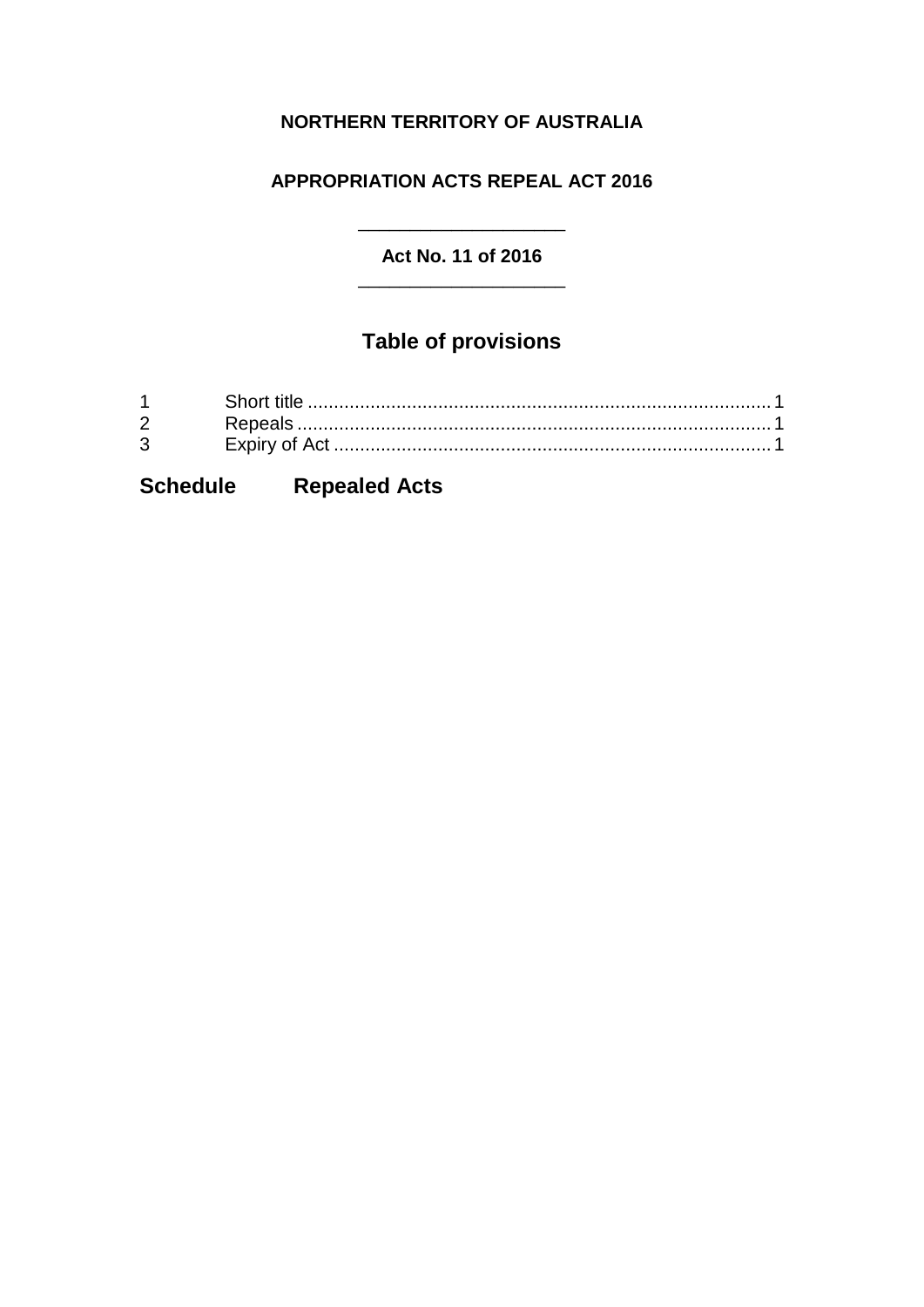### **NORTHERN TERRITORY OF AUSTRALIA**

### **APPROPRIATION ACTS REPEAL ACT 2016**

#### **Act No. 11 of 2016** \_\_\_\_\_\_\_\_\_\_\_\_\_\_\_\_\_\_\_\_

\_\_\_\_\_\_\_\_\_\_\_\_\_\_\_\_\_\_\_\_

# **Table of provisions**

| $\mathbf 1$  |  |
|--------------|--|
|              |  |
| $\mathbf{3}$ |  |

## **Schedule Repealed Acts**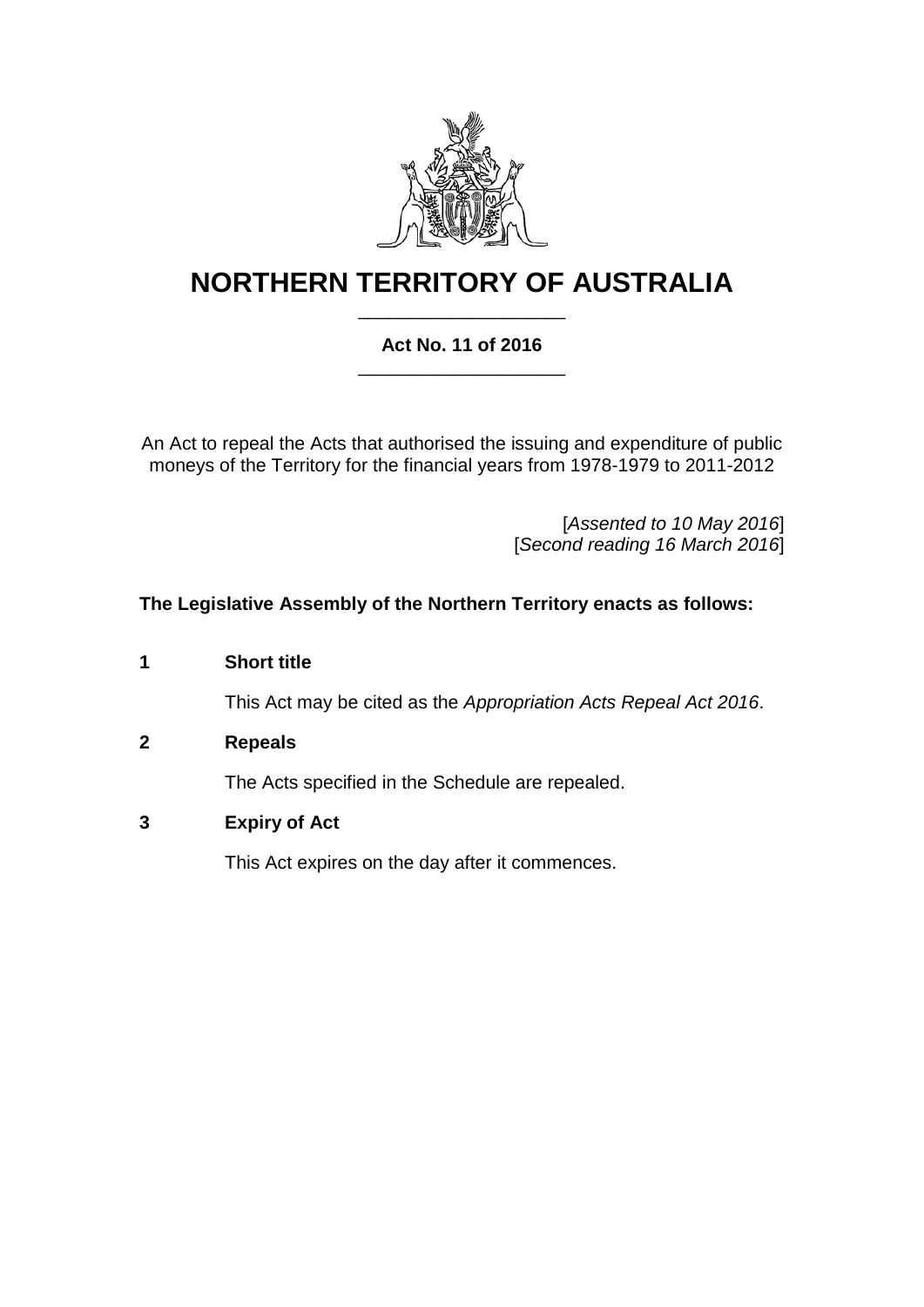

## **NORTHERN TERRITORY OF AUSTRALIA** \_\_\_\_\_\_\_\_\_\_\_\_\_\_\_\_\_\_\_\_

### **Act No. 11 of 2016** \_\_\_\_\_\_\_\_\_\_\_\_\_\_\_\_\_\_\_\_

An Act to repeal the Acts that authorised the issuing and expenditure of public moneys of the Territory for the financial years from 1978-1979 to 2011-2012

> [*Assented to 10 May 2016*] [*Second reading 16 March 2016*]

#### **The Legislative Assembly of the Northern Territory enacts as follows:**

**1 Short title**

This Act may be cited as the *Appropriation Acts Repeal Act 2016*.

<span id="page-2-0"></span>**2 Repeals**

The Acts specified in the Schedule are repealed.

**3 Expiry of Act**

This Act expires on the day after it commences.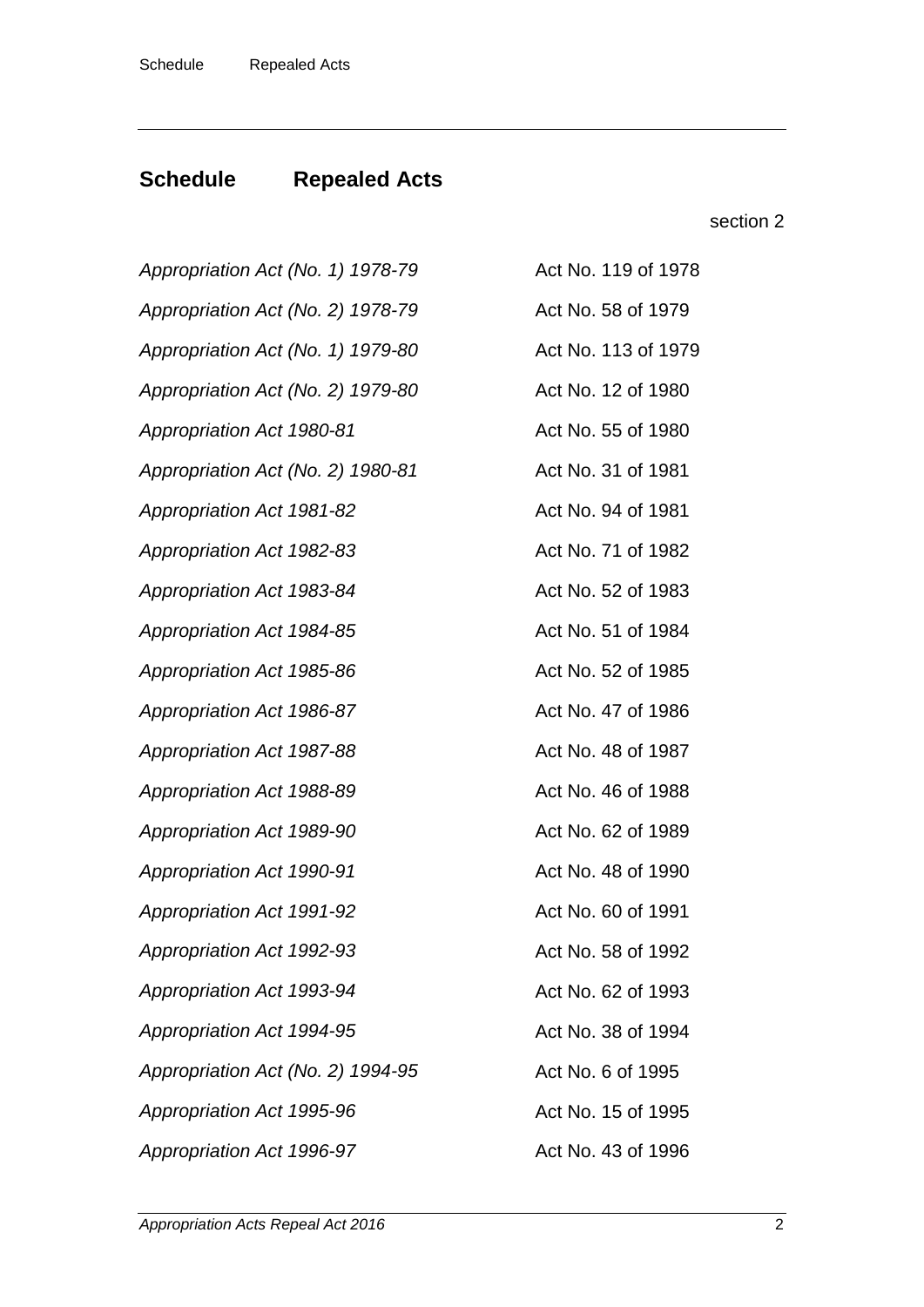# **Schedule Repealed Acts**

### section [2](#page-2-0)

| Appropriation Act (No. 1) 1978-79 | Act No. 119 of 1978 |
|-----------------------------------|---------------------|
| Appropriation Act (No. 2) 1978-79 | Act No. 58 of 1979  |
| Appropriation Act (No. 1) 1979-80 | Act No. 113 of 1979 |
| Appropriation Act (No. 2) 1979-80 | Act No. 12 of 1980  |
| Appropriation Act 1980-81         | Act No. 55 of 1980  |
| Appropriation Act (No. 2) 1980-81 | Act No. 31 of 1981  |
| <b>Appropriation Act 1981-82</b>  | Act No. 94 of 1981  |
| Appropriation Act 1982-83         | Act No. 71 of 1982  |
| Appropriation Act 1983-84         | Act No. 52 of 1983  |
| Appropriation Act 1984-85         | Act No. 51 of 1984  |
| Appropriation Act 1985-86         | Act No. 52 of 1985  |
| Appropriation Act 1986-87         | Act No. 47 of 1986  |
| Appropriation Act 1987-88         | Act No. 48 of 1987  |
| Appropriation Act 1988-89         | Act No. 46 of 1988  |
| Appropriation Act 1989-90         | Act No. 62 of 1989  |
| Appropriation Act 1990-91         | Act No. 48 of 1990  |
| <b>Appropriation Act 1991-92</b>  | Act No. 60 of 1991  |
| <b>Appropriation Act 1992-93</b>  | Act No. 58 of 1992  |
| Appropriation Act 1993-94         | Act No. 62 of 1993  |
| Appropriation Act 1994-95         | Act No. 38 of 1994  |
| Appropriation Act (No. 2) 1994-95 | Act No. 6 of 1995   |
| Appropriation Act 1995-96         | Act No. 15 of 1995  |
| Appropriation Act 1996-97         | Act No. 43 of 1996  |